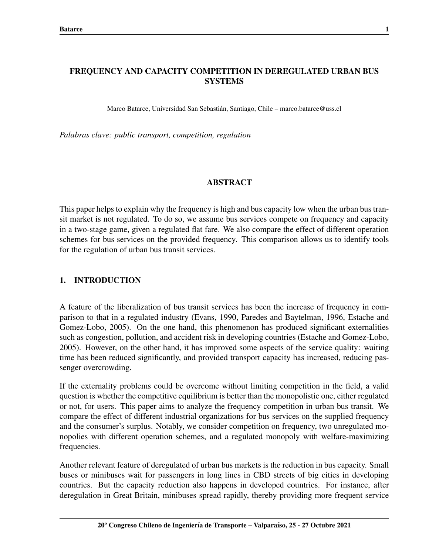# FREQUENCY AND CAPACITY COMPETITION IN DEREGULATED URBAN BUS **SYSTEMS**

Marco Batarce, Universidad San Sebastian, Santiago, Chile – marco.batarce@uss.cl ´

*Palabras clave: public transport, competition, regulation*

## ABSTRACT

This paper helps to explain why the frequency is high and bus capacity low when the urban bus transit market is not regulated. To do so, we assume bus services compete on frequency and capacity in a two-stage game, given a regulated flat fare. We also compare the effect of different operation schemes for bus services on the provided frequency. This comparison allows us to identify tools for the regulation of urban bus transit services.

## 1. INTRODUCTION

A feature of the liberalization of bus transit services has been the increase of frequency in comparison to that in a regulated industry (Evans, 1990, Paredes and Baytelman, 1996, Estache and Gomez-Lobo, 2005). On the one hand, this phenomenon has produced significant externalities such as congestion, pollution, and accident risk in developing countries (Estache and Gomez-Lobo, 2005). However, on the other hand, it has improved some aspects of the service quality: waiting time has been reduced significantly, and provided transport capacity has increased, reducing passenger overcrowding.

If the externality problems could be overcome without limiting competition in the field, a valid question is whether the competitive equilibrium is better than the monopolistic one, either regulated or not, for users. This paper aims to analyze the frequency competition in urban bus transit. We compare the effect of different industrial organizations for bus services on the supplied frequency and the consumer's surplus. Notably, we consider competition on frequency, two unregulated monopolies with different operation schemes, and a regulated monopoly with welfare-maximizing frequencies.

Another relevant feature of deregulated of urban bus markets is the reduction in bus capacity. Small buses or minibuses wait for passengers in long lines in CBD streets of big cities in developing countries. But the capacity reduction also happens in developed countries. For instance, after deregulation in Great Britain, minibuses spread rapidly, thereby providing more frequent service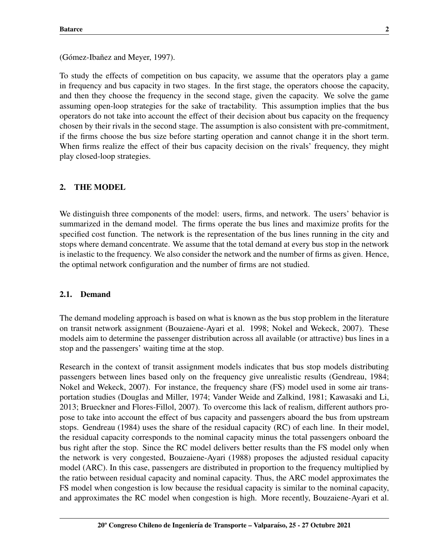(Gómez-Ibañez and Meyer, 1997).

To study the effects of competition on bus capacity, we assume that the operators play a game in frequency and bus capacity in two stages. In the first stage, the operators choose the capacity, and then they choose the frequency in the second stage, given the capacity. We solve the game assuming open-loop strategies for the sake of tractability. This assumption implies that the bus operators do not take into account the effect of their decision about bus capacity on the frequency chosen by their rivals in the second stage. The assumption is also consistent with pre-commitment, if the firms choose the bus size before starting operation and cannot change it in the short term. When firms realize the effect of their bus capacity decision on the rivals' frequency, they might play closed-loop strategies.

## 2. THE MODEL

We distinguish three components of the model: users, firms, and network. The users' behavior is summarized in the demand model. The firms operate the bus lines and maximize profits for the specified cost function. The network is the representation of the bus lines running in the city and stops where demand concentrate. We assume that the total demand at every bus stop in the network is inelastic to the frequency. We also consider the network and the number of firms as given. Hence, the optimal network configuration and the number of firms are not studied.

#### 2.1. Demand

The demand modeling approach is based on what is known as the bus stop problem in the literature on transit network assignment (Bouzaiene-Ayari et al. 1998; Nokel and Wekeck, 2007). These models aim to determine the passenger distribution across all available (or attractive) bus lines in a stop and the passengers' waiting time at the stop.

Research in the context of transit assignment models indicates that bus stop models distributing passengers between lines based only on the frequency give unrealistic results (Gendreau, 1984; Nokel and Wekeck, 2007). For instance, the frequency share (FS) model used in some air transportation studies (Douglas and Miller, 1974; Vander Weide and Zalkind, 1981; Kawasaki and Li, 2013; Brueckner and Flores-Fillol, 2007). To overcome this lack of realism, different authors propose to take into account the effect of bus capacity and passengers aboard the bus from upstream stops. Gendreau (1984) uses the share of the residual capacity (RC) of each line. In their model, the residual capacity corresponds to the nominal capacity minus the total passengers onboard the bus right after the stop. Since the RC model delivers better results than the FS model only when the network is very congested, Bouzaiene-Ayari (1988) proposes the adjusted residual capacity model (ARC). In this case, passengers are distributed in proportion to the frequency multiplied by the ratio between residual capacity and nominal capacity. Thus, the ARC model approximates the FS model when congestion is low because the residual capacity is similar to the nominal capacity, and approximates the RC model when congestion is high. More recently, Bouzaiene-Ayari et al.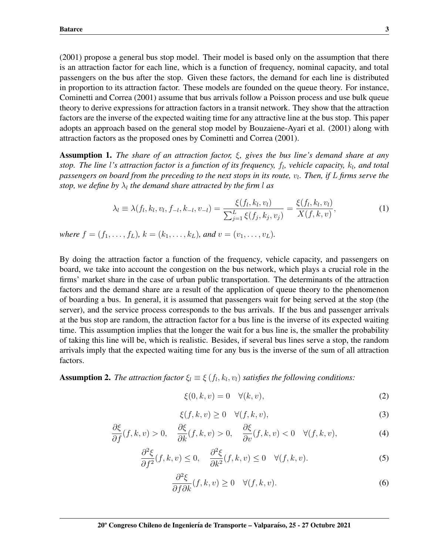(2001) propose a general bus stop model. Their model is based only on the assumption that there is an attraction factor for each line, which is a function of frequency, nominal capacity, and total passengers on the bus after the stop. Given these factors, the demand for each line is distributed in proportion to its attraction factor. These models are founded on the queue theory. For instance, Cominetti and Correa (2001) assume that bus arrivals follow a Poisson process and use bulk queue theory to derive expressions for attraction factors in a transit network. They show that the attraction factors are the inverse of the expected waiting time for any attractive line at the bus stop. This paper adopts an approach based on the general stop model by Bouzaiene-Ayari et al. (2001) along with attraction factors as the proposed ones by Cominetti and Correa (2001).

Assumption 1. *The share of an attraction factor,* ξ*, gives the bus line's demand share at any stop. The line l's attraction factor is a function of its frequency, f<sub>l</sub>, vehicle capacity,*  $k_l$ *, and total* passengers on board from the preceding to the next stops in its route,  $v_l$ . Then, if  $L$  firms serve the *stop, we define by*  $\lambda_l$  the demand share attracted by the firm l as

$$
\lambda_l \equiv \lambda(f_l, k_l, v_l, f_{-l}, k_{-l}, v_{-l}) = \frac{\xi(f_l, k_l, v_l)}{\sum_{j=1}^L \xi(f_j, k_j, v_j)} = \frac{\xi(f_l, k_l, v_l)}{X(f, k, v)},\tag{1}
$$

*where*  $f = (f_1, \ldots, f_L)$ ,  $k = (k_1, \ldots, k_L)$ , and  $v = (v_1, \ldots, v_L)$ .

By doing the attraction factor a function of the frequency, vehicle capacity, and passengers on board, we take into account the congestion on the bus network, which plays a crucial role in the firms' market share in the case of urban public transportation. The determinants of the attraction factors and the demand share are a result of the application of queue theory to the phenomenon of boarding a bus. In general, it is assumed that passengers wait for being served at the stop (the server), and the service process corresponds to the bus arrivals. If the bus and passenger arrivals at the bus stop are random, the attraction factor for a bus line is the inverse of its expected waiting time. This assumption implies that the longer the wait for a bus line is, the smaller the probability of taking this line will be, which is realistic. Besides, if several bus lines serve a stop, the random arrivals imply that the expected waiting time for any bus is the inverse of the sum of all attraction factors.

**Assumption 2.** *The attraction factor*  $\xi_l \equiv \xi(f_l, k_l, v_l)$  *satisfies the following conditions:* 

$$
\xi(0,k,v) = 0 \quad \forall (k,v),\tag{2}
$$

$$
\xi(f,k,v) \ge 0 \quad \forall (f,k,v),\tag{3}
$$

$$
\frac{\partial \xi}{\partial f}(f,k,v) > 0, \quad \frac{\partial \xi}{\partial k}(f,k,v) > 0, \quad \frac{\partial \xi}{\partial v}(f,k,v) < 0 \quad \forall (f,k,v), \tag{4}
$$

$$
\frac{\partial^2 \xi}{\partial f^2}(f,k,v) \le 0, \quad \frac{\partial^2 \xi}{\partial k^2}(f,k,v) \le 0 \quad \forall (f,k,v). \tag{5}
$$

$$
\frac{\partial^2 \xi}{\partial f \partial k}(f, k, v) \ge 0 \quad \forall (f, k, v).
$$
\n(6)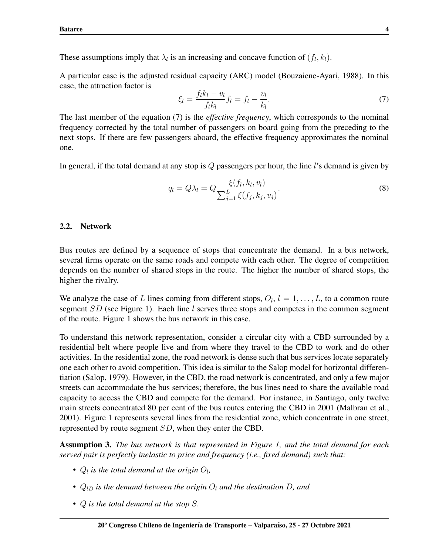These assumptions imply that  $\lambda_l$  is an increasing and concave function of  $(f_l, k_l)$ .

A particular case is the adjusted residual capacity (ARC) model (Bouzaiene-Ayari, 1988). In this case, the attraction factor is

$$
\xi_l = \frac{f_l k_l - v_l}{f_l k_l} f_l = f_l - \frac{v_l}{k_l}.\tag{7}
$$

The last member of the equation (7) is the *effective frequenc*y, which corresponds to the nominal frequency corrected by the total number of passengers on board going from the preceding to the next stops. If there are few passengers aboard, the effective frequency approximates the nominal one.

In general, if the total demand at any stop is  $Q$  passengers per hour, the line l's demand is given by

$$
q_l = Q\lambda_l = Q \frac{\xi(f_l, k_l, v_l)}{\sum_{j=1}^{L} \xi(f_j, k_j, v_j)}.
$$
\n(8)

## 2.2. Network

Bus routes are defined by a sequence of stops that concentrate the demand. In a bus network, several firms operate on the same roads and compete with each other. The degree of competition depends on the number of shared stops in the route. The higher the number of shared stops, the higher the rivalry.

We analyze the case of L lines coming from different stops,  $O_l$ ,  $l = 1, \ldots, L$ , to a common route segment SD (see Figure 1). Each line l serves three stops and competes in the common segment of the route. Figure 1 shows the bus network in this case.

To understand this network representation, consider a circular city with a CBD surrounded by a residential belt where people live and from where they travel to the CBD to work and do other activities. In the residential zone, the road network is dense such that bus services locate separately one each other to avoid competition. This idea is similar to the Salop model for horizontal differentiation (Salop, 1979). However, in the CBD, the road network is concentrated, and only a few major streets can accommodate the bus services; therefore, the bus lines need to share the available road capacity to access the CBD and compete for the demand. For instance, in Santiago, only twelve main streets concentrated 80 per cent of the bus routes entering the CBD in 2001 (Malbran et al., 2001). Figure 1 represents several lines from the residential zone, which concentrate in one street, represented by route segment SD, when they enter the CBD.

Assumption 3. *The bus network is that represented in Figure 1, and the total demand for each served pair is perfectly inelastic to price and frequency (i.e., fixed demand) such that:*

- $Q_l$  is the total demand at the origin  $Q_l$ ,
- $Q_{1D}$  *is the demand between the origin*  $O_l$  *and the destination*  $D$ *, and*
- Q *is the total demand at the stop* S*.*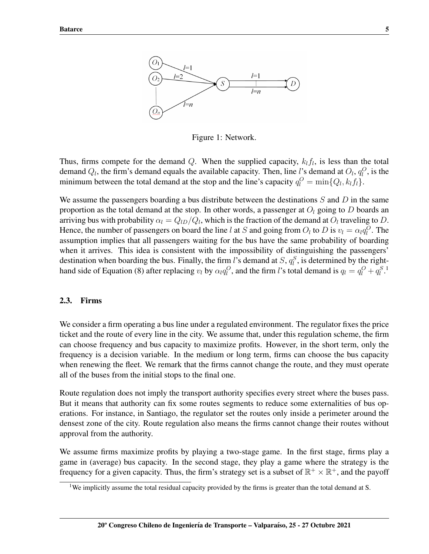

Figure 1: Network.

Thus, firms compete for the demand Q. When the supplied capacity,  $k_l f_l$ , is less than the total demand  $Q_l$ , the firm's demand equals the available capacity. Then, line l's demand at  $O_l$ ,  $q_l^O$ , is the minimum between the total demand at the stop and the line's capacity  $q_l^O = \min\{Q_l, k_l f_l\}.$ 

We assume the passengers boarding a bus distribute between the destinations  $S$  and  $D$  in the same proportion as the total demand at the stop. In other words, a passenger at  $O_l$  going to D boards an arriving bus with probability  $\alpha_l = Q_{lD}/Q_l$ , which is the fraction of the demand at  $O_l$  traveling to D. Hence, the number of passengers on board the line l at S and going from  $O_l$  to D is  $v_l = \alpha_l q_l^O$ . The assumption implies that all passengers waiting for the bus have the same probability of boarding when it arrives. This idea is consistent with the impossibility of distinguishing the passengers' destination when boarding the bus. Finally, the firm l's demand at  $S$ ,  $q_l^S$ , is determined by the righthand side of Equation (8) after replacing  $v_l$  by  $\alpha_l q_l^O$ , and the firm l's total demand is  $q_l = q_l^O + q_l^S$ .<sup>[1](#page-4-0)</sup>

#### 2.3. Firms

We consider a firm operating a bus line under a regulated environment. The regulator fixes the price ticket and the route of every line in the city. We assume that, under this regulation scheme, the firm can choose frequency and bus capacity to maximize profits. However, in the short term, only the frequency is a decision variable. In the medium or long term, firms can choose the bus capacity when renewing the fleet. We remark that the firms cannot change the route, and they must operate all of the buses from the initial stops to the final one.

Route regulation does not imply the transport authority specifies every street where the buses pass. But it means that authority can fix some routes segments to reduce some externalities of bus operations. For instance, in Santiago, the regulator set the routes only inside a perimeter around the densest zone of the city. Route regulation also means the firms cannot change their routes without approval from the authority.

We assume firms maximize profits by playing a two-stage game. In the first stage, firms play a game in (average) bus capacity. In the second stage, they play a game where the strategy is the frequency for a given capacity. Thus, the firm's strategy set is a subset of  $\mathbb{R}^+ \times \mathbb{R}^+$ , and the payoff

<span id="page-4-0"></span><sup>&</sup>lt;sup>1</sup>We implicitly assume the total residual capacity provided by the firms is greater than the total demand at S.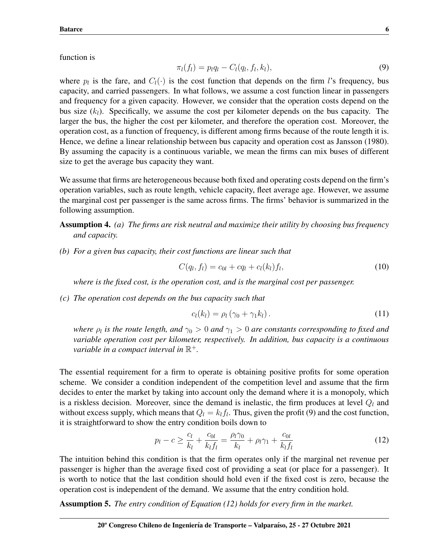function is

$$
\pi_l(f_l) = p_l q_l - C_l(q_l, f_l, k_l), \tag{9}
$$

where  $p_l$  is the fare, and  $C_l(\cdot)$  is the cost function that depends on the firm l's frequency, bus capacity, and carried passengers. In what follows, we assume a cost function linear in passengers and frequency for a given capacity. However, we consider that the operation costs depend on the bus size  $(k_l)$ . Specifically, we assume the cost per kilometer depends on the bus capacity. The larger the bus, the higher the cost per kilometer, and therefore the operation cost. Moreover, the operation cost, as a function of frequency, is different among firms because of the route length it is. Hence, we define a linear relationship between bus capacity and operation cost as Jansson (1980). By assuming the capacity is a continuous variable, we mean the firms can mix buses of different size to get the average bus capacity they want.

We assume that firms are heterogeneous because both fixed and operating costs depend on the firm's operation variables, such as route length, vehicle capacity, fleet average age. However, we assume the marginal cost per passenger is the same across firms. The firms' behavior is summarized in the following assumption.

Assumption 4. *(a) The firms are risk neutral and maximize their utility by choosing bus frequency and capacity.*

*(b) For a given bus capacity, their cost functions are linear such that*

$$
C(q_l, f_l) = c_{0l} + cq_l + c_l(k_l) f_l,
$$
\n(10)

*where is the fixed cost, is the operation cost, and is the marginal cost per passenger.*

*(c) The operation cost depends on the bus capacity such that*

$$
c_l(k_l) = \rho_l \left( \gamma_0 + \gamma_1 k_l \right). \tag{11}
$$

*where*  $\rho_l$  is the route length, and  $\gamma_0 > 0$  and  $\gamma_1 > 0$  are constants corresponding to fixed and *variable operation cost per kilometer, respectively. In addition, bus capacity is a continuous variable in a compact interval in*  $\mathbb{R}^+$ .

The essential requirement for a firm to operate is obtaining positive profits for some operation scheme. We consider a condition independent of the competition level and assume that the firm decides to enter the market by taking into account only the demand where it is a monopoly, which is a riskless decision. Moreover, since the demand is inelastic, the firm produces at level  $Q_l$  and without excess supply, which means that  $Q_l = k_l f_l$ . Thus, given the profit (9) and the cost function, it is straightforward to show the entry condition boils down to

$$
p_l - c \ge \frac{c_l}{k_l} + \frac{c_{0l}}{k_l f_l} = \frac{\rho_l \gamma_0}{k_l} + \rho_l \gamma_1 + \frac{c_{0l}}{k_l f_l} \tag{12}
$$

The intuition behind this condition is that the firm operates only if the marginal net revenue per passenger is higher than the average fixed cost of providing a seat (or place for a passenger). It is worth to notice that the last condition should hold even if the fixed cost is zero, because the operation cost is independent of the demand. We assume that the entry condition hold.

Assumption 5. *The entry condition of Equation (12) holds for every firm in the market.*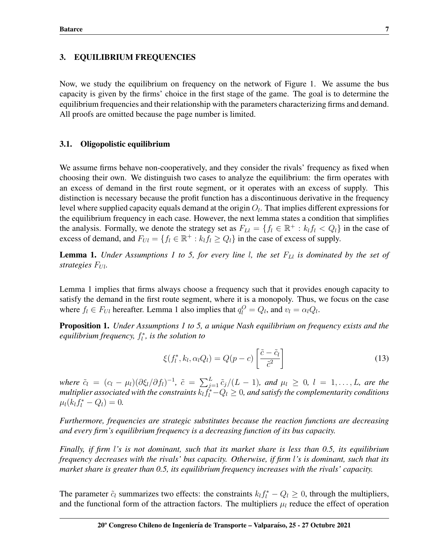## 3. EQUILIBRIUM FREQUENCIES

Now, we study the equilibrium on frequency on the network of Figure 1. We assume the bus capacity is given by the firms' choice in the first stage of the game. The goal is to determine the equilibrium frequencies and their relationship with the parameters characterizing firms and demand. All proofs are omitted because the page number is limited.

## 3.1. Oligopolistic equilibrium

We assume firms behave non-cooperatively, and they consider the rivals' frequency as fixed when choosing their own. We distinguish two cases to analyze the equilibrium: the firm operates with an excess of demand in the first route segment, or it operates with an excess of supply. This distinction is necessary because the profit function has a discontinuous derivative in the frequency level where supplied capacity equals demand at the origin  $O_l$ . That implies different expressions for the equilibrium frequency in each case. However, the next lemma states a condition that simplifies the analysis. Formally, we denote the strategy set as  $F_{Ll} = \{f_l \in \mathbb{R}^+ : k_l f_l < Q_l\}$  in the case of excess of demand, and  $F_{U_l} = \{f_l \in \mathbb{R}^+ : k_l f_l \geq Q_l\}$  in the case of excess of supply.

**Lemma 1.** *Under Assumptions 1 to 5, for every line l, the set*  $F_{\text{L1}}$  *is dominated by the set of strategies*  $F_{Ul}$ *.* 

Lemma 1 implies that firms always choose a frequency such that it provides enough capacity to satisfy the demand in the first route segment, where it is a monopoly. Thus, we focus on the case where  $f_l \in F_{Ul}$  hereafter. Lemma 1 also implies that  $q_l^O = Q_l$ , and  $v_l = \alpha_l Q_l$ .

Proposition 1. *Under Assumptions 1 to 5, a unique Nash equilibrium on frequency exists and the equilibrium frequency,* f ∗ l *, is the solution to*

$$
\xi(f_l^*, k_l, \alpha_l Q_l) = Q(p - c) \left[ \frac{\tilde{c} - \tilde{c}_l}{\tilde{c}^2} \right]
$$
\n(13)

*<i>, and*  $\mu_l \geq 0$ *,*  $l = 1, ..., L$ *, are the* multiplier associated with the constraints  $k_l \tilde{f_l^*} {-} Q_l \geq 0$ , and satisfy the complementarity conditions  $\mu_l(k_l f_l^* - Q_l) = 0.$ 

*Furthermore, frequencies are strategic substitutes because the reaction functions are decreasing and every firm's equilibrium frequency is a decreasing function of its bus capacity.*

*Finally, if firm* l*'s is not dominant, such that its market share is less than 0.5, its equilibrium frequency decreases with the rivals' bus capacity. Otherwise, if firm* l*'s is dominant, such that its market share is greater than 0.5, its equilibrium frequency increases with the rivals' capacity.*

The parameter  $\tilde{c}_l$  summarizes two effects: the constraints  $k_l f_l^* - Q_l \geq 0$ , through the multipliers, and the functional form of the attraction factors. The multipliers  $\mu_l$  reduce the effect of operation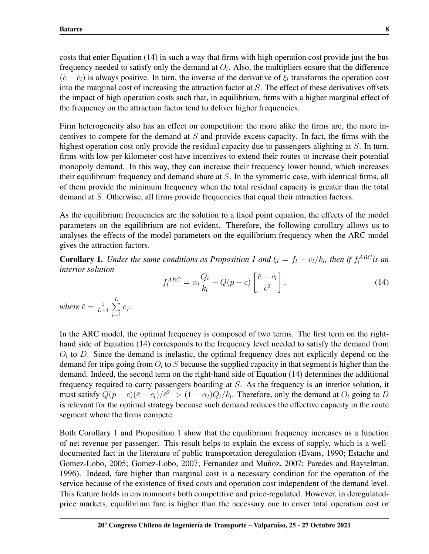costs that enter Equation (14) in such a way that firms with high operation cost provide just the bus frequency needed to satisfy only the demand at  $O_l$ . Also, the multipliers ensure that the difference  $(\tilde{c} - \tilde{c}_l)$  is always positive. In turn, the inverse of the derivative of  $\xi_l$  transforms the operation cost into the marginal cost of increasing the attraction factor at  $S$ . The effect of these derivatives offsets the impact of high operation costs such that, in equilibrium, firms with a higher marginal effect of the frequency on the attraction factor tend to deliver higher frequencies.

Firm heterogeneity also has an effect on competition: the more alike the firms are, the more incentives to compete for the demand at  $S$  and provide excess capacity. In fact, the firms with the highest operation cost only provide the residual capacity due to passengers alighting at S. In turn, firms with low per-kilometer cost have incentives to extend their routes to increase their potential monopoly demand. In this way, they can increase their frequency lower bound, which increases their equilibrium frequency and demand share at  $S$ . In the symmetric case, with identical firms, all of them provide the minimum frequency when the total residual capacity is greater than the total demand at S. Otherwise, all firms provide frequencies that equal their attraction factors.

As the equilibrium frequencies are the solution to a fixed point equation, the effects of the model parameters on the equilibrium are not evident. Therefore, the following corollary allows us to analyses the effects of the model parameters on the equilibrium frequency when the ARC model gives the attraction factors.

**Corollary 1.** Under the same conditions as Proposition 1 and  $\xi_l = f_l - v_l/k_l$ , then if  $f_l^{ARC}$  is an *interior solution*

$$
f_l^{ARC} = \alpha_l \frac{Q_l}{k_l} + Q(p - c) \left[ \frac{\bar{c} - c_l}{\bar{c}^2} \right],
$$
\n(14)

*where*  $\bar{c} = \frac{1}{L}$  $\frac{1}{L-1}\sum_{i=1}^L$  $j=1$ cj *.*

In the ARC model, the optimal frequency is composed of two terms. The first term on the righthand side of Equation (14) corresponds to the frequency level needed to satisfy the demand from  $O_l$  to D. Since the demand is inelastic, the optimal frequency does not explicitly depend on the demand for trips going from  $O_l$  to S because the supplied capacity in that segment is higher than the demand. Indeed, the second term on the right-hand side of Equation (14) determines the additional frequency required to carry passengers boarding at S. As the frequency is an interior solution, it must satisfy  $Q(p-c)(\bar{c}-c_l)/\bar{c}^2 > (1-\alpha_l)Q_l/k_l$ . Therefore, only the demand at  $O_l$  going to D is relevant for the optimal strategy because such demand reduces the effective capacity in the route segment where the firms compete.

Both Corollary 1 and Proposition 1 show that the equilibrium frequency increases as a function of net revenue per passenger. This result helps to explain the excess of supply, which is a welldocumented fact in the literature of public transportation deregulation (Evans, 1990; Estache and Gomez-Lobo, 2005; Gomez-Lobo, 2007; Fernandez and Muñoz, 2007; Paredes and Baytelman, 1996). Indeed, fare higher than marginal cost is a necessary condition for the operation of the service because of the existence of fixed costs and operation cost independent of the demand level. This feature holds in environments both competitive and price-regulated. However, in deregulatedprice markets, equilibrium fare is higher than the necessary one to cover total operation cost or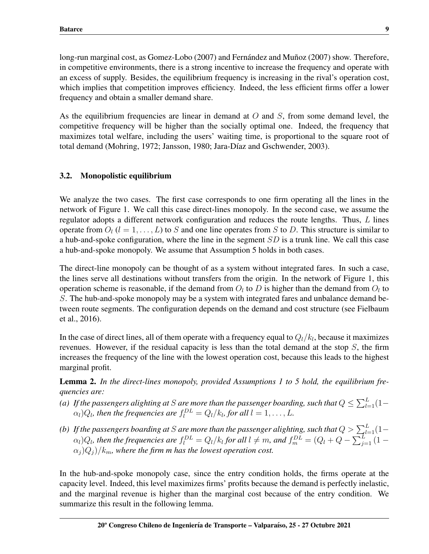long-run marginal cost, as Gomez-Lobo (2007) and Fernández and Muñoz (2007) show. Therefore, in competitive environments, there is a strong incentive to increase the frequency and operate with an excess of supply. Besides, the equilibrium frequency is increasing in the rival's operation cost, which implies that competition improves efficiency. Indeed, the less efficient firms offer a lower frequency and obtain a smaller demand share.

As the equilibrium frequencies are linear in demand at  $O$  and  $S$ , from some demand level, the competitive frequency will be higher than the socially optimal one. Indeed, the frequency that maximizes total welfare, including the users' waiting time, is proportional to the square root of total demand (Mohring, 1972; Jansson, 1980; Jara-Díaz and Gschwender, 2003).

## 3.2. Monopolistic equilibrium

We analyze the two cases. The first case corresponds to one firm operating all the lines in the network of Figure 1. We call this case direct-lines monopoly. In the second case, we assume the regulator adopts a different network configuration and reduces the route lengths. Thus, L lines operate from  $O_l$  ( $l = 1, \ldots, L$ ) to S and one line operates from S to D. This structure is similar to a hub-and-spoke configuration, where the line in the segment  $SD$  is a trunk line. We call this case a hub-and-spoke monopoly. We assume that Assumption 5 holds in both cases.

The direct-line monopoly can be thought of as a system without integrated fares. In such a case, the lines serve all destinations without transfers from the origin. In the network of Figure 1, this operation scheme is reasonable, if the demand from  $O_l$  to D is higher than the demand from  $O_l$  to S. The hub-and-spoke monopoly may be a system with integrated fares and unbalance demand between route segments. The configuration depends on the demand and cost structure (see Fielbaum et al., 2016).

In the case of direct lines, all of them operate with a frequency equal to  $Q_l/k_l$ , because it maximizes revenues. However, if the residual capacity is less than the total demand at the stop  $S$ , the firm increases the frequency of the line with the lowest operation cost, because this leads to the highest marginal profit.

Lemma 2. *In the direct-lines monopoly, provided Assumptions 1 to 5 hold, the equilibrium frequencies are:*

- (a) If the passengers alighting at S are more than the passenger boarding, such that  $Q \leq \sum_{l=1}^{L}(1 \alpha_l$ ) $Q_l$ , then the frequencies are  $f_l^{DL} = Q_l/k_l$ , for all  $l = 1, \ldots, L$ .
- (b) If the passengers boarding at S are more than the passenger alighting, such that  $Q > \sum_{l=1}^L (1-p)^l$  $\alpha_l$ ) $Q_l$ , then the frequencies are  $f_l^{DL}=Q_l/k_l$  for all  $l\neq m$ , and  $f_m^{DL}=(Q_l+Q-\sum_{j=1}^L{(1-p_l)^2})^2$  $(\alpha_i)Q_i$ )/ $k_m$ *, where the firm m has the lowest operation cost.*

In the hub-and-spoke monopoly case, since the entry condition holds, the firms operate at the capacity level. Indeed, this level maximizes firms' profits because the demand is perfectly inelastic, and the marginal revenue is higher than the marginal cost because of the entry condition. We summarize this result in the following lemma.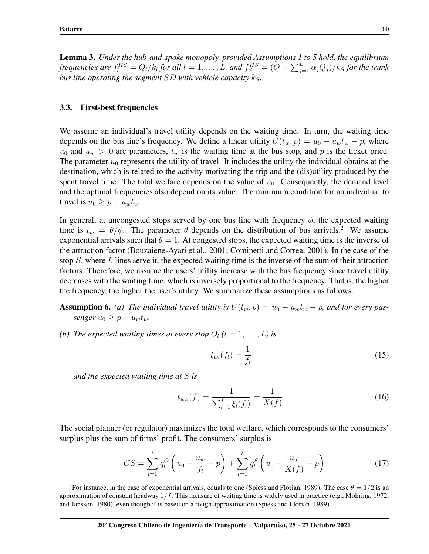Lemma 3. *Under the hub-and-spoke monopoly, provided Assumptions 1 to 5 hold, the equilibrium* frequencies are  $f_l^{HS}=Q_l/k_l$  for all  $l=1,\ldots,L$ , and  $f_S^{HS}=(Q+\sum_{j=1}^L\alpha_jQ_j)/k_S$  for the trunk *bus line operating the segment*  $SD$  *with vehicle capacity*  $k_S$ .

#### 3.3. First-best frequencies

We assume an individual's travel utility depends on the waiting time. In turn, the waiting time depends on the bus line's frequency. We define a linear utility  $U(t_w, p) = u_0 - u_w t_w - p$ , where  $u_0$  and  $u_w > 0$  are parameters,  $t_w$  is the waiting time at the bus stop, and p is the ticket price. The parameter  $u_0$  represents the utility of travel. It includes the utility the individual obtains at the destination, which is related to the activity motivating the trip and the (dis)utility produced by the spent travel time. The total welfare depends on the value of  $u_0$ . Consequently, the demand level and the optimal frequencies also depend on its value. The minimum condition for an individual to travel is  $u_0 \geq p + u_w t_w$ .

In general, at uncongested stops served by one bus line with frequency  $\phi$ , the expected waiting time is  $t_w = \theta/\phi$ . The parameter  $\theta$  depends on the distribution of bus arrivals.<sup>[2](#page-9-0)</sup> We assume exponential arrivals such that  $\theta = 1$ . At congested stops, the expected waiting time is the inverse of the attraction factor (Bouzaiene-Ayari et al., 2001; Cominetti and Correa, 2001). In the case of the stop  $S$ , where  $L$  lines serve it, the expected waiting time is the inverse of the sum of their attraction factors. Therefore, we assume the users' utility increase with the bus frequency since travel utility decreases with the waiting time, which is inversely proportional to the frequency. That is, the higher the frequency, the higher the user's utility. We summarize these assumptions as follows.

**Assumption 6.** (a) The individual travel utility is  $U(t_w, p) = u_0 - u_w t_w - p$ , and for every pas*senger*  $u_0 \geq p + u_w t_w$ .

*(b)* The expected waiting times at every stop  $O_l$  ( $l = 1, \ldots, L$ ) is

$$
t_{wl}(f_l) = \frac{1}{f_l} \tag{15}
$$

*and the expected waiting time at* S *is*

$$
t_{wS}(f) = \frac{1}{\sum_{l=1}^{L} \xi_l(f_l)} = \frac{1}{X(f)}.\tag{16}
$$

The social planner (or regulator) maximizes the total welfare, which corresponds to the consumers' surplus plus the sum of firms' profit. The consumers' surplus is

$$
CS = \sum_{l=1}^{L} q_l^O \left( u_0 - \frac{u_w}{f_l} - p \right) + \sum_{l=1}^{L} q_l^S \left( u_0 - \frac{u_w}{X(f)} - p \right)
$$
(17)

<span id="page-9-0"></span><sup>&</sup>lt;sup>2</sup>For instance, in the case of exponential arrivals, equals to one (Spiess and Florian, 1989). The case  $\theta = 1/2$  is an approximation of constant headway  $1/f$ . This measure of waiting time is widely used in practice (e.g., Mohring, 1972, and Jansson, 1980), even though it is based on a rough approximation (Spiess and Florian, 1989).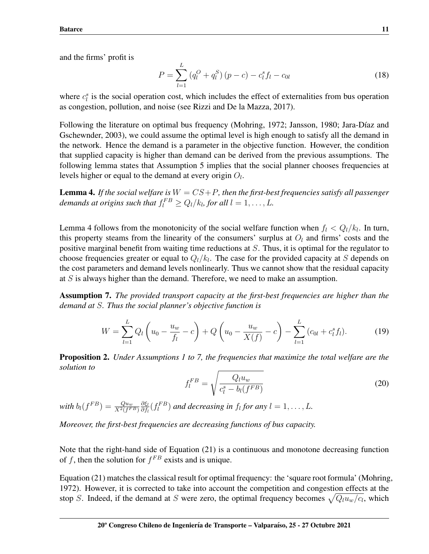and the firms' profit is

$$
P = \sum_{l=1}^{L} (q_l^O + q_l^S) (p - c) - c_l^s f_l - c_{0l}
$$
 (18)

where  $c_i^s$  is the social operation cost, which includes the effect of externalities from bus operation as congestion, pollution, and noise (see Rizzi and De la Mazza, 2017).

Following the literature on optimal bus frequency (Mohring, 1972; Jansson, 1980; Jara-Díaz and Gschewnder, 2003), we could assume the optimal level is high enough to satisfy all the demand in the network. Hence the demand is a parameter in the objective function. However, the condition that supplied capacity is higher than demand can be derived from the previous assumptions. The following lemma states that Assumption 5 implies that the social planner chooses frequencies at levels higher or equal to the demand at every origin  $O_l$ .

**Lemma 4.** If the social welfare is  $W = CS + P$ , then the first-best frequencies satisfy all passenger demands at origins such that  $f_l^{FB} \geq Q_l/k_l$ , for all  $l = 1, \ldots, L$ .

Lemma 4 follows from the monotonicity of the social welfare function when  $f_l < Q_l/k_l$ . In turn, this property steams from the linearity of the consumers' surplus at  $O_l$  and firms' costs and the positive marginal benefit from waiting time reductions at  $S$ . Thus, it is optimal for the regulator to choose frequencies greater or equal to  $Q_l/k_l$ . The case for the provided capacity at S depends on the cost parameters and demand levels nonlinearly. Thus we cannot show that the residual capacity at S is always higher than the demand. Therefore, we need to make an assumption.

Assumption 7. *The provided transport capacity at the first-best frequencies are higher than the demand at* S*. Thus the social planner's objective function is*

$$
W = \sum_{l=1}^{L} Q_l \left( u_0 - \frac{u_w}{f_l} - c \right) + Q \left( u_0 - \frac{u_w}{X(f)} - c \right) - \sum_{l=1}^{L} \left( c_{0l} + c_l^s f_l \right). \tag{19}
$$

Proposition 2. *Under Assumptions 1 to 7, the frequencies that maximize the total welfare are the solution to*

$$
f_l^{FB} = \sqrt{\frac{Q_l u_w}{c_l^s - b_l(f^{FB})}}
$$
\n(20)

with  $b_l(f^{FB}) = \frac{Qu_w}{X^2(f^{FB})}$ ∂ξ<sup>l</sup>  $\frac{\partial \xi_l}{\partial f_l}(f_l^{FB})$  and decreasing in  $f_l$  for any  $l = 1, \ldots, L$ .

*Moreover, the first-best frequencies are decreasing functions of bus capacity.*

Note that the right-hand side of Equation (21) is a continuous and monotone decreasing function of f, then the solution for  $f^{FB}$  exists and is unique.

Equation (21) matches the classical result for optimal frequency: the 'square root formula' (Mohring, 1972). However, it is corrected to take into account the competition and congestion effects at the stop S. Indeed, if the demand at S were zero, the optimal frequency becomes  $\sqrt{Q_l u_w/c_l}$ , which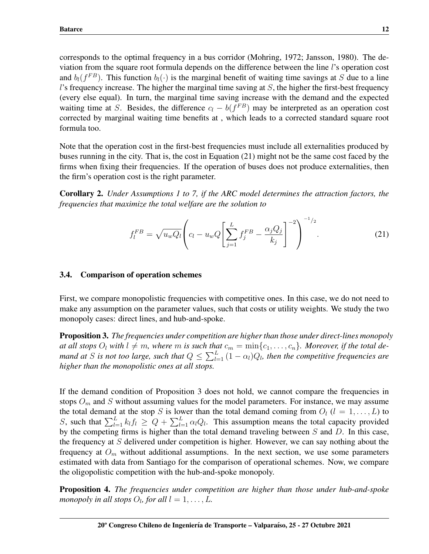corresponds to the optimal frequency in a bus corridor (Mohring, 1972; Jansson, 1980). The deviation from the square root formula depends on the difference between the line l's operation cost and  $b_l(f^{FB})$ . This function  $b_l(\cdot)$  is the marginal benefit of waiting time savings at S due to a line l's frequency increase. The higher the marginal time saving at  $S$ , the higher the first-best frequency (every else equal). In turn, the marginal time saving increase with the demand and the expected waiting time at S. Besides, the difference  $c_l - b(f^{FB})$  may be interpreted as an operation cost corrected by marginal waiting time benefits at , which leads to a corrected standard square root formula too.

Note that the operation cost in the first-best frequencies must include all externalities produced by buses running in the city. That is, the cost in Equation (21) might not be the same cost faced by the firms when fixing their frequencies. If the operation of buses does not produce externalities, then the firm's operation cost is the right parameter.

Corollary 2. *Under Assumptions 1 to 7, if the ARC model determines the attraction factors, the frequencies that maximize the total welfare are the solution to*

$$
f_l^{FB} = \sqrt{u_w Q_l} \left( c_l - u_w Q \left[ \sum_{j=1}^L f_j^{FB} - \frac{\alpha_j Q_j}{k_j} \right]^{-2} \right)^{-1/2}.
$$
 (21)

## 3.4. Comparison of operation schemes

First, we compare monopolistic frequencies with competitive ones. In this case, we do not need to make any assumption on the parameter values, such that costs or utility weights. We study the two monopoly cases: direct lines, and hub-and-spoke.

Proposition 3. *The frequencies under competition are higher than those under direct-lines monopoly at all stops*  $O_l$  *with*  $l \neq m$ *, where* m *is such that*  $c_m = \min\{c_1, \ldots, c_n\}$ *. Moreover, if the total demand at* S is not too large, such that  $Q \leq \sum_{l=1}^{L} (1 - \alpha_l) Q_l$ , then the competitive frequencies are *higher than the monopolistic ones at all stops.*

If the demand condition of Proposition 3 does not hold, we cannot compare the frequencies in stops  $O_m$  and S without assuming values for the model parameters. For instance, we may assume the total demand at the stop S is lower than the total demand coming from  $O_l$  ( $l = 1, \ldots, L$ ) to S, such that  $\sum_{l=1}^{L} k_l f_l \ge Q + \sum_{l=1}^{L} \alpha_l Q_l$ . This assumption means the total capacity provided by the competing firms is higher than the total demand traveling between  $S$  and  $D$ . In this case, the frequency at  $S$  delivered under competition is higher. However, we can say nothing about the frequency at  $O_m$  without additional assumptions. In the next section, we use some parameters estimated with data from Santiago for the comparison of operational schemes. Now, we compare the oligopolistic competition with the hub-and-spoke monopoly.

Proposition 4. *The frequencies under competition are higher than those under hub-and-spoke* monopoly in all stops  $O_l$ , for all  $l = 1, \ldots, L$ .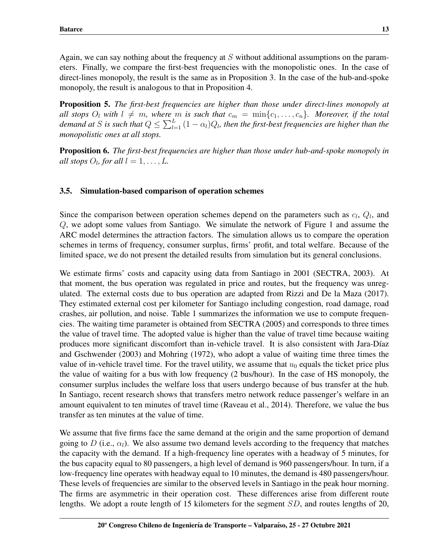Again, we can say nothing about the frequency at  $S$  without additional assumptions on the parameters. Finally, we compare the first-best frequencies with the monopolistic ones. In the case of direct-lines monopoly, the result is the same as in Proposition 3. In the case of the hub-and-spoke monopoly, the result is analogous to that in Proposition 4.

Proposition 5. *The first-best frequencies are higher than those under direct-lines monopoly at all stops*  $O_l$  *with*  $l \neq m$ *, where* m *is such that*  $c_m = \min\{c_1, \ldots, c_n\}$ *. Moreover, if the total* demand at S is such that  $Q \leq \sum_{l=1}^{L} (1-\alpha_l) Q_l$ , then the first-best frequencies are higher than the *monopolistic ones at all stops.*

Proposition 6. *The first-best frequencies are higher than those under hub-and-spoke monopoly in all stops*  $O_l$ *, for all*  $l = 1, \ldots, L$ *.* 

# 3.5. Simulation-based comparison of operation schemes

Since the comparison between operation schemes depend on the parameters such as  $c_l$ ,  $Q_l$ , and Q, we adopt some values from Santiago. We simulate the network of Figure 1 and assume the ARC model determines the attraction factors. The simulation allows us to compare the operation schemes in terms of frequency, consumer surplus, firms' profit, and total welfare. Because of the limited space, we do not present the detailed results from simulation but its general conclusions.

We estimate firms' costs and capacity using data from Santiago in 2001 (SECTRA, 2003). At that moment, the bus operation was regulated in price and routes, but the frequency was unregulated. The external costs due to bus operation are adapted from Rizzi and De la Maza (2017). They estimated external cost per kilometer for Santiago including congestion, road damage, road crashes, air pollution, and noise. Table 1 summarizes the information we use to compute frequencies. The waiting time parameter is obtained from SECTRA (2005) and corresponds to three times the value of travel time. The adopted value is higher than the value of travel time because waiting produces more significant discomfort than in-vehicle travel. It is also consistent with Jara-Díaz and Gschwender (2003) and Mohring (1972), who adopt a value of waiting time three times the value of in-vehicle travel time. For the travel utility, we assume that  $u_0$  equals the ticket price plus the value of waiting for a bus with low frequency (2 bus/hour). In the case of HS monopoly, the consumer surplus includes the welfare loss that users undergo because of bus transfer at the hub. In Santiago, recent research shows that transfers metro network reduce passenger's welfare in an amount equivalent to ten minutes of travel time (Raveau et al., 2014). Therefore, we value the bus transfer as ten minutes at the value of time.

We assume that five firms face the same demand at the origin and the same proportion of demand going to D (i.e.,  $\alpha_l$ ). We also assume two demand levels according to the frequency that matches the capacity with the demand. If a high-frequency line operates with a headway of 5 minutes, for the bus capacity equal to 80 passengers, a high level of demand is 960 passengers/hour. In turn, if a low-frequency line operates with headway equal to 10 minutes, the demand is 480 passengers/hour. These levels of frequencies are similar to the observed levels in Santiago in the peak hour morning. The firms are asymmetric in their operation cost. These differences arise from different route lengths. We adopt a route length of 15 kilometers for the segment SD, and routes lengths of 20,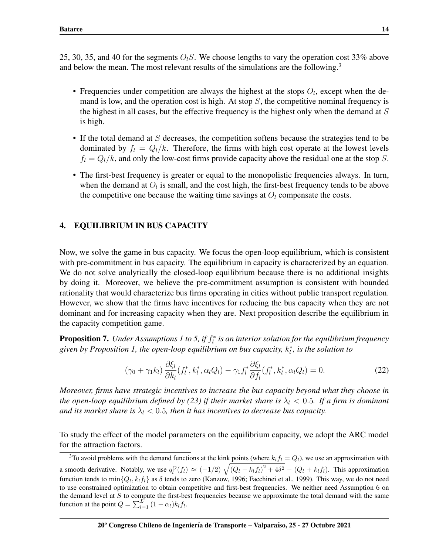25, 30, 35, and 40 for the segments  $O_lS$ . We choose lengths to vary the operation cost 33% above and below the mean. The most relevant results of the simulations are the following.<sup>[3](#page-13-0)</sup>

- Frequencies under competition are always the highest at the stops  $O_l$ , except when the demand is low, and the operation cost is high. At stop  $S$ , the competitive nominal frequency is the highest in all cases, but the effective frequency is the highest only when the demand at  $S$ is high.
- If the total demand at  $S$  decreases, the competition softens because the strategies tend to be dominated by  $f_l = Q_l/k$ . Therefore, the firms with high cost operate at the lowest levels  $f_l = Q_l/k$ , and only the low-cost firms provide capacity above the residual one at the stop S.
- The first-best frequency is greater or equal to the monopolistic frequencies always. In turn, when the demand at  $O_l$  is small, and the cost high, the first-best frequency tends to be above the competitive one because the waiting time savings at  $O_l$  compensate the costs.

## 4. EQUILIBRIUM IN BUS CAPACITY

Now, we solve the game in bus capacity. We focus the open-loop equilibrium, which is consistent with pre-commitment in bus capacity. The equilibrium in capacity is characterized by an equation. We do not solve analytically the closed-loop equilibrium because there is no additional insights by doing it. Moreover, we believe the pre-commitment assumption is consistent with bounded rationality that would characterize bus firms operating in cities without public transport regulation. However, we show that the firms have incentives for reducing the bus capacity when they are not dominant and for increasing capacity when they are. Next proposition describe the equilibrium in the capacity competition game.

**Proposition 7.** Under Assumptions 1 to 5, if  $f_i^*$  is an interior solution for the equilibrium frequency given by Proposition 1, the open-loop equilibrium on bus capacity,  $k_l^*$ , is the solution to

$$
(\gamma_0 + \gamma_1 k_l) \frac{\partial \xi_l}{\partial k_l} (f_l^*, k_l^*, \alpha_l Q_l) - \gamma_1 f_l^* \frac{\partial \xi_l}{\partial f_l} (f_l^*, k_l^*, \alpha_l Q_l) = 0.
$$
 (22)

*Moreover, firms have strategic incentives to increase the bus capacity beyond what they choose in the open-loop equilibrium defined by (23) if their market share is*  $\lambda_l < 0.5$ . If a firm is dominant *and its market share is*  $\lambda_l$  < 0.5, then it has incentives to decrease bus capacity.

To study the effect of the model parameters on the equilibrium capacity, we adopt the ARC model for the attraction factors.

<span id="page-13-0"></span><sup>&</sup>lt;sup>3</sup>To avoid problems with the demand functions at the kink points (where  $k_l f_l = Q_l$ ), we use an approximation with a smooth derivative. Notably, we use  $q_l^O(f_l) \approx (-1/2) \sqrt{(Q_l - k_l f_l)^2 + 4\delta^2} - (Q_l + k_l f_l)$ . This approximation function tends to  $\min\{Q_l,k_lf_l\}$  as  $\delta$  tends to zero (Kanzow, 1996; Facchinei et al., 1999). This way, we do not need to use constrained optimization to obtain competitive and first-best frequencies. We neither need Assumption 6 on the demand level at  $S$  to compute the first-best frequencies because we approximate the total demand with the same function at the point  $Q = \sum_{l=1}^{L} (1 - \alpha_l) k_l f_l$ .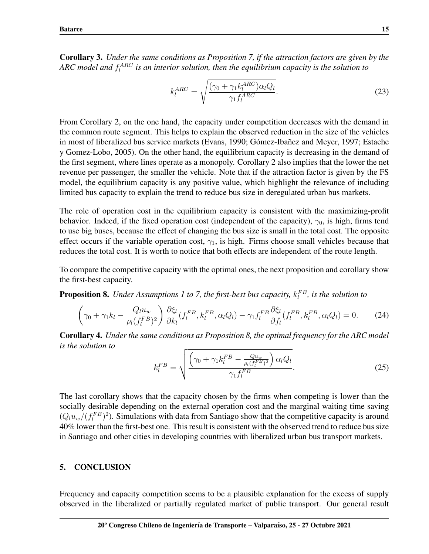Corollary 3. *Under the same conditions as Proposition 7, if the attraction factors are given by the*  $\mathit{ARC}$  model and  $f_l^{\mathit{ARC}}$  is an interior solution, then the equilibrium capacity is the solution to

$$
k_l^{ARC} = \sqrt{\frac{(\gamma_0 + \gamma_1 k_l^{ARC}) \alpha_l Q_l}{\gamma_1 f_l^{ARC}}}. \tag{23}
$$

From Corollary 2, on the one hand, the capacity under competition decreases with the demand in the common route segment. This helps to explain the observed reduction in the size of the vehicles in most of liberalized bus service markets (Evans, 1990; Gómez-Ibañez and Meyer, 1997; Estache y Gomez-Lobo, 2005). On the other hand, the equilibrium capacity is decreasing in the demand of the first segment, where lines operate as a monopoly. Corollary 2 also implies that the lower the net revenue per passenger, the smaller the vehicle. Note that if the attraction factor is given by the FS model, the equilibrium capacity is any positive value, which highlight the relevance of including limited bus capacity to explain the trend to reduce bus size in deregulated urban bus markets.

The role of operation cost in the equilibrium capacity is consistent with the maximizing-profit behavior. Indeed, if the fixed operation cost (independent of the capacity),  $\gamma_0$ , is high, firms tend to use big buses, because the effect of changing the bus size is small in the total cost. The opposite effect occurs if the variable operation cost,  $\gamma_1$ , is high. Firms choose small vehicles because that reduces the total cost. It is worth to notice that both effects are independent of the route length.

To compare the competitive capacity with the optimal ones, the next proposition and corollary show the first-best capacity.

**Proposition 8.** Under Assumptions 1 to 7, the first-best bus capacity,  $k_l^{FB}$ , is the solution to

$$
\left(\gamma_0 + \gamma_1 k_l - \frac{Q_l u_w}{\rho_l (f_l^{FB})^2}\right) \frac{\partial \xi_l}{\partial k_l} (f_l^{FB}, k_l^{FB}, \alpha_l Q_l) - \gamma_1 f_l^{FB} \frac{\partial \xi_l}{\partial f_l} (f_l^{FB}, k_l^{FB}, \alpha_l Q_l) = 0. \tag{24}
$$

Corollary 4. *Under the same conditions as Proposition 8, the optimal frequency for the ARC model is the solution to*

$$
k_l^{FB} = \sqrt{\frac{\left(\gamma_0 + \gamma_1 k_l^{FB} - \frac{Qu_w}{\rho_l (f_l^{FB})^2}\right) \alpha_l Q_l}{\gamma_1 f_l^{FB}}}. \tag{25}
$$

The last corollary shows that the capacity chosen by the firms when competing is lower than the socially desirable depending on the external operation cost and the marginal waiting time saving  $(Q_l u_w/(f_l^{FB})^2)$ . Simulations with data from Santiago show that the competitive capacity is around 40% lower than the first-best one. This result is consistent with the observed trend to reduce bus size in Santiago and other cities in developing countries with liberalized urban bus transport markets.

#### 5. CONCLUSION

Frequency and capacity competition seems to be a plausible explanation for the excess of supply observed in the liberalized or partially regulated market of public transport. Our general result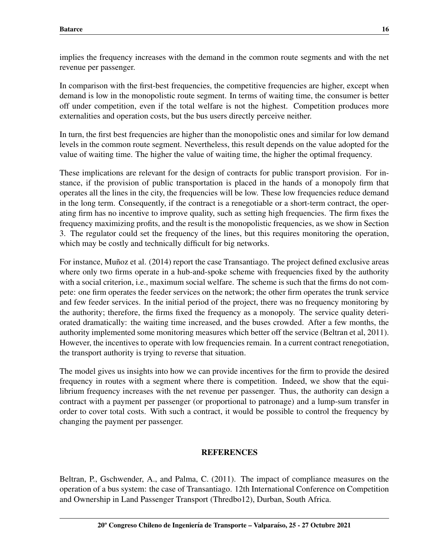implies the frequency increases with the demand in the common route segments and with the net revenue per passenger.

In comparison with the first-best frequencies, the competitive frequencies are higher, except when demand is low in the monopolistic route segment. In terms of waiting time, the consumer is better off under competition, even if the total welfare is not the highest. Competition produces more externalities and operation costs, but the bus users directly perceive neither.

In turn, the first best frequencies are higher than the monopolistic ones and similar for low demand levels in the common route segment. Nevertheless, this result depends on the value adopted for the value of waiting time. The higher the value of waiting time, the higher the optimal frequency.

These implications are relevant for the design of contracts for public transport provision. For instance, if the provision of public transportation is placed in the hands of a monopoly firm that operates all the lines in the city, the frequencies will be low. These low frequencies reduce demand in the long term. Consequently, if the contract is a renegotiable or a short-term contract, the operating firm has no incentive to improve quality, such as setting high frequencies. The firm fixes the frequency maximizing profits, and the result is the monopolistic frequencies, as we show in Section 3. The regulator could set the frequency of the lines, but this requires monitoring the operation, which may be costly and technically difficult for big networks.

For instance, Muñoz et al. (2014) report the case Transantiago. The project defined exclusive areas where only two firms operate in a hub-and-spoke scheme with frequencies fixed by the authority with a social criterion, i.e., maximum social welfare. The scheme is such that the firms do not compete: one firm operates the feeder services on the network; the other firm operates the trunk service and few feeder services. In the initial period of the project, there was no frequency monitoring by the authority; therefore, the firms fixed the frequency as a monopoly. The service quality deteriorated dramatically: the waiting time increased, and the buses crowded. After a few months, the authority implemented some monitoring measures which better off the service (Beltran et al, 2011). However, the incentives to operate with low frequencies remain. In a current contract renegotiation, the transport authority is trying to reverse that situation.

The model gives us insights into how we can provide incentives for the firm to provide the desired frequency in routes with a segment where there is competition. Indeed, we show that the equilibrium frequency increases with the net revenue per passenger. Thus, the authority can design a contract with a payment per passenger (or proportional to patronage) and a lump-sum transfer in order to cover total costs. With such a contract, it would be possible to control the frequency by changing the payment per passenger.

# **REFERENCES**

Beltran, P., Gschwender, A., and Palma, C. (2011). The impact of compliance measures on the operation of a bus system: the case of Transantiago. 12th International Conference on Competition and Ownership in Land Passenger Transport (Thredbo12), Durban, South Africa.